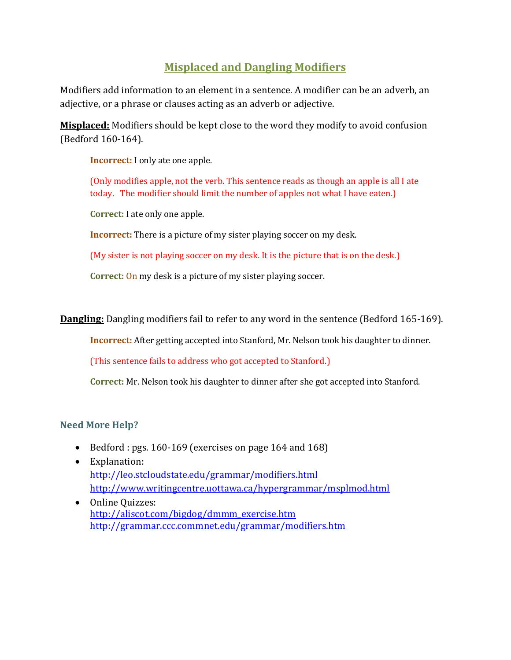## **Misplaced and Dangling Modifiers**

Modifiers add information to an element in a sentence. A modifier can be an adverb, an adjective, or a phrase or clauses acting as an adverb or adjective.

**Misplaced:** Modifiers should be kept close to the word they modify to avoid confusion (Bedford 160-164).

**Incorrect:** I only ate one apple.

(Only modifies apple, not the verb. This sentence reads as though an apple is all I ate today. The modifier should limit the number of apples not what I have eaten.)

**Correct:** I ate only one apple.

**Incorrect:** There is a picture of my sister playing soccer on my desk.

(My sister is not playing soccer on my desk. It is the picture that is on the desk.)

**Correct:** On my desk is a picture of my sister playing soccer.

**Dangling:** Dangling modifiers fail to refer to any word in the sentence (Bedford 165-169).

**Incorrect:** After getting accepted into Stanford, Mr. Nelson took his daughter to dinner.

(This sentence fails to address who got accepted to Stanford.)

**Correct:** Mr. Nelson took his daughter to dinner after she got accepted into Stanford.

## **Need More Help?**

- Bedford : pgs. 160-169 (exercises on page 164 and 168)
- Explanation: <http://leo.stcloudstate.edu/grammar/modifiers.html> <http://www.writingcentre.uottawa.ca/hypergrammar/msplmod.html>
- Online Quizzes: [http://aliscot.com/bigdog/dmmm\\_exercise.htm](http://aliscot.com/bigdog/dmmm_exercise.htm) <http://grammar.ccc.commnet.edu/grammar/modifiers.htm>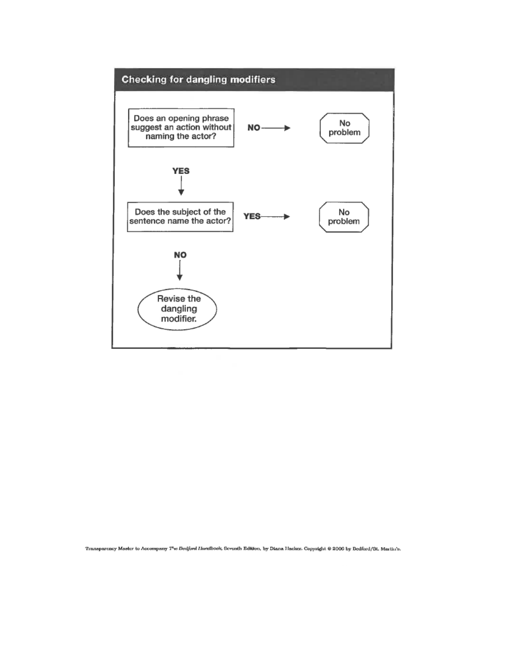

Transparency Master to Accompany The Dedford Handbook, Seventh Edition, by Diana Hacker. Copyright @ 2006 by Dedford/St. Martin's.